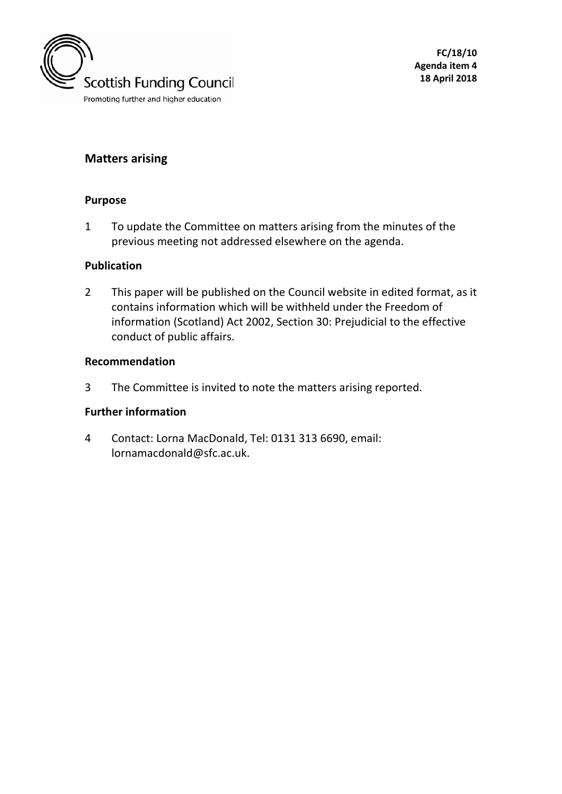

# **Matters arising**

### **Purpose**

1 To update the Committee on matters arising from the minutes of the previous meeting not addressed elsewhere on the agenda.

### **Publication**

2 This paper will be published on the Council website in edited format, as it contains information which will be withheld under the Freedom of information (Scotland) Act 2002, Section 30: Prejudicial to the effective conduct of public affairs.

### **Recommendation**

3 The Committee is invited to note the matters arising reported.

## **Further information**

4 Contact: Lorna MacDonald, Tel: 0131 313 6690, email: lornamacdonald@sfc.ac.uk.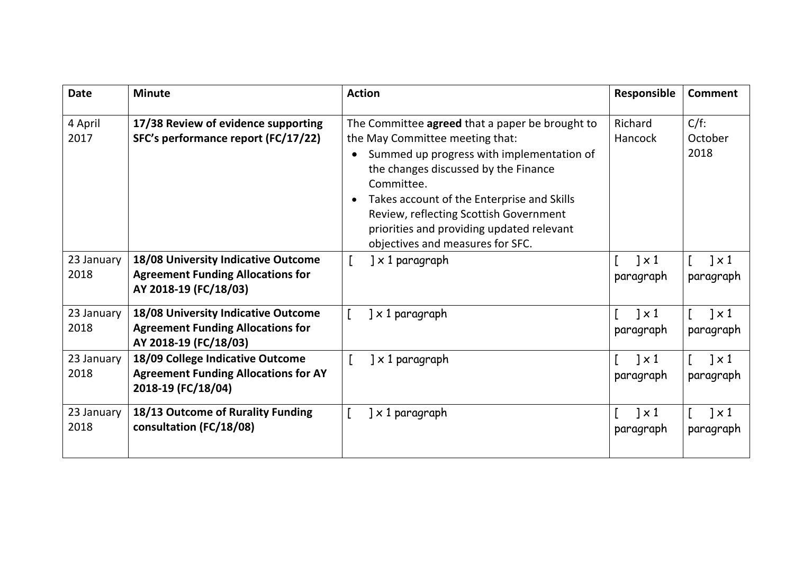| <b>Date</b>        | <b>Minute</b>                                                                                            | <b>Action</b>                                                                                                                                                                                                                                                                                                                                                  | Responsible                         | Comment                             |
|--------------------|----------------------------------------------------------------------------------------------------------|----------------------------------------------------------------------------------------------------------------------------------------------------------------------------------------------------------------------------------------------------------------------------------------------------------------------------------------------------------------|-------------------------------------|-------------------------------------|
| 4 April<br>2017    | 17/38 Review of evidence supporting<br>SFC's performance report (FC/17/22)                               | The Committee agreed that a paper be brought to<br>the May Committee meeting that:<br>Summed up progress with implementation of<br>the changes discussed by the Finance<br>Committee.<br>Takes account of the Enterprise and Skills<br>Review, reflecting Scottish Government<br>priorities and providing updated relevant<br>objectives and measures for SFC. | Richard<br>Hancock                  | $C/f$ :<br>October<br>2018          |
| 23 January<br>2018 | 18/08 University Indicative Outcome<br><b>Agreement Funding Allocations for</b><br>AY 2018-19 (FC/18/03) | $] \times 1$ paragraph                                                                                                                                                                                                                                                                                                                                         | $\sqrt{2} \times 1$<br>paragraph    | $\vert \times 1 \vert$<br>paragraph |
| 23 January<br>2018 | 18/08 University Indicative Outcome<br><b>Agreement Funding Allocations for</b><br>AY 2018-19 (FC/18/03) | $] \times 1$ paragraph                                                                                                                                                                                                                                                                                                                                         | $\vert \times 1 \vert$<br>paragraph | $\vert \times 1 \vert$<br>paragraph |
| 23 January<br>2018 | 18/09 College Indicative Outcome<br><b>Agreement Funding Allocations for AY</b><br>2018-19 (FC/18/04)    | $\left] \times 1 \right.$ paragraph                                                                                                                                                                                                                                                                                                                            | $1 \times 1$<br>paragraph           | $1 \times 1$<br>paragraph           |
| 23 January<br>2018 | 18/13 Outcome of Rurality Funding<br>consultation (FC/18/08)                                             | $] \times 1$ paragraph                                                                                                                                                                                                                                                                                                                                         | $\sqrt{2} \times 1$<br>paragraph    | $1 \times 1$<br>paragraph           |